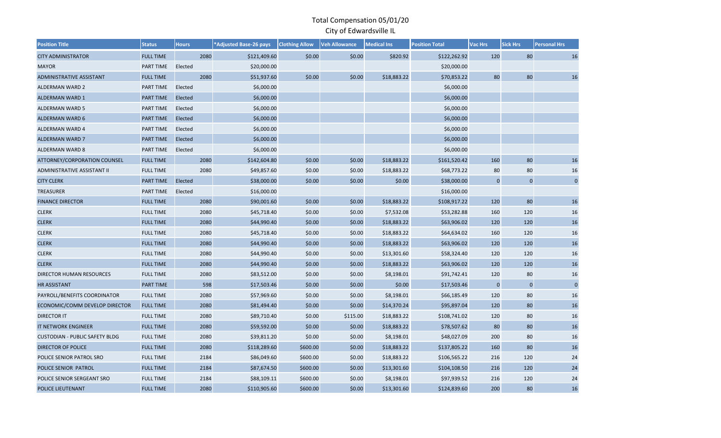| <b>Position Title</b>                 | <b>Status</b>    | <b>Hours</b> | *Adjusted Base-26 pays | <b>Clothing Allow</b> | <b>Veh Allowance</b> | <b>Medical Ins</b> | <b>Position Total</b> | Vac Hrs     | <b>Sick Hrs</b> | <b>Personal Hrs</b> |
|---------------------------------------|------------------|--------------|------------------------|-----------------------|----------------------|--------------------|-----------------------|-------------|-----------------|---------------------|
| <b>CITY ADMINISTRATOR</b>             | <b>FULL TIME</b> | 2080         | \$121,409.60           | \$0.00                | \$0.00               | \$820.92           | \$122,262.92          | 120         | 80              | 16                  |
| <b>MAYOR</b>                          | PART TIME        | Elected      | \$20,000.00            |                       |                      |                    | \$20,000.00           |             |                 |                     |
| ADMINISTRATIVE ASSISTANT              | <b>FULL TIME</b> | 2080         | \$51,937.60            | \$0.00                | \$0.00               | \$18,883.22        | \$70,853.22           | 80          | 80              | 16                  |
| <b>ALDERMAN WARD 2</b>                | PART TIME        | Elected      | \$6,000.00             |                       |                      |                    | \$6,000.00            |             |                 |                     |
| <b>ALDERMAN WARD 1</b>                | <b>PART TIME</b> | Elected      | \$6,000.00             |                       |                      |                    | \$6,000.00            |             |                 |                     |
| <b>ALDERMAN WARD 5</b>                | PART TIME        | Elected      | \$6,000.00             |                       |                      |                    | \$6,000.00            |             |                 |                     |
| <b>ALDERMAN WARD 6</b>                | PART TIME        | Elected      | \$6,000.00             |                       |                      |                    | \$6,000.00            |             |                 |                     |
| ALDERMAN WARD 4                       | PART TIME        | Elected      | \$6,000.00             |                       |                      |                    | \$6,000.00            |             |                 |                     |
| <b>ALDERMAN WARD 7</b>                | <b>PART TIME</b> | Elected      | \$6,000.00             |                       |                      |                    | \$6,000.00            |             |                 |                     |
| <b>ALDERMAN WARD 8</b>                | PART TIME        | Elected      | \$6,000.00             |                       |                      |                    | \$6,000.00            |             |                 |                     |
| ATTORNEY/CORPORATION COUNSEL          | <b>FULL TIME</b> | 2080         | \$142,604.80           | \$0.00                | \$0.00               | \$18,883.22        | \$161,520.42          | 160         | 80              | 16                  |
| ADMINISTRATIVE ASSISTANT II           | <b>FULL TIME</b> | 2080         | \$49,857.60            | \$0.00                | \$0.00               | \$18,883.22        | \$68,773.22           | 80          | 80              | 16                  |
| <b>CITY CLERK</b>                     | <b>PART TIME</b> | Elected      | \$38,000.00            | \$0.00                | \$0.00               | \$0.00             | \$38,000.00           | $\pmb{0}$   | $\mathbf 0$     | $\pmb{0}$           |
| <b>TREASURER</b>                      | PART TIME        | Elected      | \$16,000.00            |                       |                      |                    | \$16,000.00           |             |                 |                     |
| <b>FINANCE DIRECTOR</b>               | <b>FULL TIME</b> | 2080         | \$90,001.60            | \$0.00                | \$0.00               | \$18,883.22        | \$108,917.22          | 120         | 80              | 16                  |
| <b>CLERK</b>                          | <b>FULL TIME</b> | 2080         | \$45,718.40            | \$0.00                | \$0.00               | \$7,532.08         | \$53,282.88           | 160         | 120             | 16                  |
| <b>CLERK</b>                          | <b>FULL TIME</b> | 2080         | \$44,990.40            | \$0.00                | \$0.00               | \$18,883.22        | \$63,906.02           | 120         | 120             | 16                  |
| <b>CLERK</b>                          | <b>FULL TIME</b> | 2080         | \$45,718.40            | \$0.00                | \$0.00               | \$18,883.22        | \$64,634.02           | 160         | 120             | 16                  |
| <b>CLERK</b>                          | <b>FULL TIME</b> | 2080         | \$44,990.40            | \$0.00                | \$0.00               | \$18,883.22        | \$63,906.02           | 120         | 120             | 16                  |
| <b>CLERK</b>                          | <b>FULL TIME</b> | 2080         | \$44,990.40            | \$0.00                | \$0.00               | \$13,301.60        | \$58,324.40           | 120         | 120             | 16                  |
| <b>CLERK</b>                          | <b>FULL TIME</b> | 2080         | \$44,990.40            | \$0.00                | \$0.00               | \$18,883.22        | \$63,906.02           | 120         | 120             | 16                  |
| DIRECTOR HUMAN RESOURCES              | <b>FULL TIME</b> | 2080         | \$83,512.00            | \$0.00                | \$0.00               | \$8,198.01         | \$91,742.41           | 120         | 80              | 16                  |
| <b>HR ASSISTANT</b>                   | PART TIME        | 598          | \$17,503.46            | \$0.00                | \$0.00               | \$0.00             | \$17,503.46           | $\mathbf 0$ | $\mathbf{0}$    | $\pmb{0}$           |
| PAYROLL/BENEFITS COORDINATOR          | <b>FULL TIME</b> | 2080         | \$57,969.60            | \$0.00                | \$0.00               | \$8,198.01         | \$66,185.49           | 120         | 80              | 16                  |
| ECONOMIC/COMM DEVELOP DIRECTOR        | <b>FULL TIME</b> | 2080         | \$81,494.40            | \$0.00                | \$0.00               | \$14,370.24        | \$95,897.04           | 120         | 80              | 16                  |
| <b>DIRECTOR IT</b>                    | <b>FULL TIME</b> | 2080         | \$89,710.40            | \$0.00                | \$115.00             | \$18,883.22        | \$108,741.02          | 120         | 80              | 16                  |
| IT NETWORK ENGINEER                   | <b>FULL TIME</b> | 2080         | \$59,592.00            | \$0.00                | \$0.00               | \$18,883.22        | \$78,507.62           | 80          | 80              | 16                  |
| <b>CUSTODIAN - PUBLIC SAFETY BLDG</b> | <b>FULL TIME</b> | 2080         | \$39,811.20            | \$0.00                | \$0.00               | \$8,198.01         | \$48,027.09           | 200         | 80              | 16                  |
| <b>DIRECTOR OF POLICE</b>             | <b>FULL TIME</b> | 2080         | \$118,289.60           | \$600.00              | \$0.00               | \$18,883.22        | \$137,805.22          | 160         | 80              | 16                  |
| POLICE SENIOR PATROL SRO              | <b>FULL TIME</b> | 2184         | \$86,049.60            | \$600.00              | \$0.00               | \$18,883.22        | \$106,565.22          | 216         | 120             | 24                  |
| POLICE SENIOR PATROL                  | <b>FULL TIME</b> | 2184         | \$87,674.50            | \$600.00              | \$0.00               | \$13,301.60        | \$104,108.50          | 216         | 120             | 24                  |
| POLICE SENIOR SERGEANT SRO            | <b>FULL TIME</b> | 2184         | \$88,109.11            | \$600.00              | \$0.00               | \$8,198.01         | \$97,939.52           | 216         | 120             | 24                  |
| POLICE LIEUTENANT                     | <b>FULL TIME</b> | 2080         | \$110,905.60           | \$600.00              | \$0.00               | \$13,301.60        | \$124,839.60          | 200         | 80              | 16                  |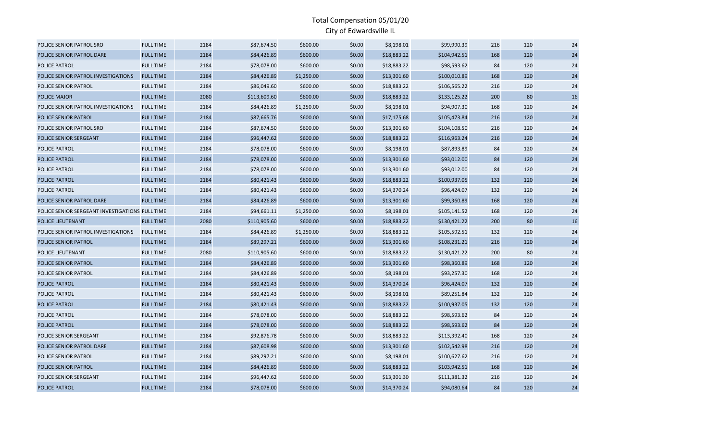| POLICE SENIOR PATROL SRO                        | <b>FULL TIME</b> | 2184 | \$87,674.50  | \$600.00   | \$0.00 | \$8,198.01  | \$99,990.39  | 216 | 120 | 24 |
|-------------------------------------------------|------------------|------|--------------|------------|--------|-------------|--------------|-----|-----|----|
| POLICE SENIOR PATROL DARE                       | <b>FULL TIME</b> | 2184 | \$84,426.89  | \$600.00   | \$0.00 | \$18,883.22 | \$104,942.51 | 168 | 120 | 24 |
| POLICE PATROL                                   | <b>FULL TIME</b> | 2184 | \$78,078.00  | \$600.00   | \$0.00 | \$18,883.22 | \$98,593.62  | 84  | 120 | 24 |
| POLICE SENIOR PATROL INVESTIGATIONS             | <b>FULL TIME</b> | 2184 | \$84,426.89  | \$1,250.00 | \$0.00 | \$13,301.60 | \$100,010.89 | 168 | 120 | 24 |
| POLICE SENIOR PATROL                            | <b>FULL TIME</b> | 2184 | \$86,049.60  | \$600.00   | \$0.00 | \$18,883.22 | \$106,565.22 | 216 | 120 | 24 |
| <b>POLICE MAJOR</b>                             | <b>FULL TIME</b> | 2080 | \$113,609.60 | \$600.00   | \$0.00 | \$18,883.22 | \$133,125.22 | 200 | 80  | 16 |
| POLICE SENIOR PATROL INVESTIGATIONS             | <b>FULL TIME</b> | 2184 | \$84,426.89  | \$1,250.00 | \$0.00 | \$8,198.01  | \$94,907.30  | 168 | 120 | 24 |
| POLICE SENIOR PATROL                            | <b>FULL TIME</b> | 2184 | \$87,665.76  | \$600.00   | \$0.00 | \$17,175.68 | \$105,473.84 | 216 | 120 | 24 |
| POLICE SENIOR PATROL SRO                        | <b>FULL TIME</b> | 2184 | \$87,674.50  | \$600.00   | \$0.00 | \$13,301.60 | \$104,108.50 | 216 | 120 | 24 |
| POLICE SENIOR SERGEANT                          | <b>FULL TIME</b> | 2184 | \$96,447.62  | \$600.00   | \$0.00 | \$18,883.22 | \$116,963.24 | 216 | 120 | 24 |
| POLICE PATROL                                   | <b>FULL TIME</b> | 2184 | \$78,078.00  | \$600.00   | \$0.00 | \$8,198.01  | \$87,893.89  | 84  | 120 | 24 |
| POLICE PATROL                                   | <b>FULL TIME</b> | 2184 | \$78,078.00  | \$600.00   | \$0.00 | \$13,301.60 | \$93,012.00  | 84  | 120 | 24 |
| <b>POLICE PATROL</b>                            | <b>FULL TIME</b> | 2184 | \$78,078.00  | \$600.00   | \$0.00 | \$13,301.60 | \$93,012.00  | 84  | 120 | 24 |
| <b>POLICE PATROL</b>                            | <b>FULL TIME</b> | 2184 | \$80,421.43  | \$600.00   | \$0.00 | \$18,883.22 | \$100,937.05 | 132 | 120 | 24 |
| POLICE PATROL                                   | <b>FULL TIME</b> | 2184 | \$80,421.43  | \$600.00   | \$0.00 | \$14,370.24 | \$96,424.07  | 132 | 120 | 24 |
| POLICE SENIOR PATROL DARE                       | <b>FULL TIME</b> | 2184 | \$84,426.89  | \$600.00   | \$0.00 | \$13,301.60 | \$99,360.89  | 168 | 120 | 24 |
| POLICE SENIOR SERGEANT INVESTIGATIONS FULL TIME |                  | 2184 | \$94,661.11  | \$1,250.00 | \$0.00 | \$8,198.01  | \$105,141.52 | 168 | 120 | 24 |
| POLICE LIEUTENANT                               | <b>FULL TIME</b> | 2080 | \$110,905.60 | \$600.00   | \$0.00 | \$18,883.22 | \$130,421.22 | 200 | 80  | 16 |
| POLICE SENIOR PATROL INVESTIGATIONS             | <b>FULL TIME</b> | 2184 | \$84,426.89  | \$1,250.00 | \$0.00 | \$18,883.22 | \$105,592.51 | 132 | 120 | 24 |
| POLICE SENIOR PATROL                            | <b>FULL TIME</b> | 2184 | \$89,297.21  | \$600.00   | \$0.00 | \$13,301.60 | \$108,231.21 | 216 | 120 | 24 |
| POLICE LIEUTENANT                               | <b>FULL TIME</b> | 2080 | \$110,905.60 | \$600.00   | \$0.00 | \$18,883.22 | \$130,421.22 | 200 | 80  | 24 |
| POLICE SENIOR PATROL                            | <b>FULL TIME</b> | 2184 | \$84,426.89  | \$600.00   | \$0.00 | \$13,301.60 | \$98,360.89  | 168 | 120 | 24 |
| POLICE SENIOR PATROL                            | <b>FULL TIME</b> | 2184 | \$84,426.89  | \$600.00   | \$0.00 | \$8,198.01  | \$93,257.30  | 168 | 120 | 24 |
| <b>POLICE PATROL</b>                            | <b>FULL TIME</b> | 2184 | \$80,421.43  | \$600.00   | \$0.00 | \$14,370.24 | \$96,424.07  | 132 | 120 | 24 |
| POLICE PATROL                                   | <b>FULL TIME</b> | 2184 | \$80,421.43  | \$600.00   | \$0.00 | \$8,198.01  | \$89,251.84  | 132 | 120 | 24 |
| POLICE PATROL                                   | <b>FULL TIME</b> | 2184 | \$80,421.43  | \$600.00   | \$0.00 | \$18,883.22 | \$100,937.05 | 132 | 120 | 24 |
| POLICE PATROL                                   | <b>FULL TIME</b> | 2184 | \$78,078.00  | \$600.00   | \$0.00 | \$18,883.22 | \$98,593.62  | 84  | 120 | 24 |
| POLICE PATROL                                   | <b>FULL TIME</b> | 2184 | \$78,078.00  | \$600.00   | \$0.00 | \$18,883.22 | \$98,593.62  | 84  | 120 | 24 |
| POLICE SENIOR SERGEANT                          | <b>FULL TIME</b> | 2184 | \$92,876.78  | \$600.00   | \$0.00 | \$18,883.22 | \$113,392.40 | 168 | 120 | 24 |
| POLICE SENIOR PATROL DARE                       | <b>FULL TIME</b> | 2184 | \$87,608.98  | \$600.00   | \$0.00 | \$13,301.60 | \$102,542.98 | 216 | 120 | 24 |
| POLICE SENIOR PATROL                            | <b>FULL TIME</b> | 2184 | \$89,297.21  | \$600.00   | \$0.00 | \$8,198.01  | \$100,627.62 | 216 | 120 | 24 |
| POLICE SENIOR PATROL                            | <b>FULL TIME</b> | 2184 | \$84,426.89  | \$600.00   | \$0.00 | \$18,883.22 | \$103,942.51 | 168 | 120 | 24 |
| POLICE SENIOR SERGEANT                          | <b>FULL TIME</b> | 2184 | \$96,447.62  | \$600.00   | \$0.00 | \$13,301.30 | \$111,381.32 | 216 | 120 | 24 |
| <b>POLICE PATROL</b>                            | <b>FULL TIME</b> | 2184 | \$78,078.00  | \$600.00   | \$0.00 | \$14,370.24 | \$94,080.64  | 84  | 120 | 24 |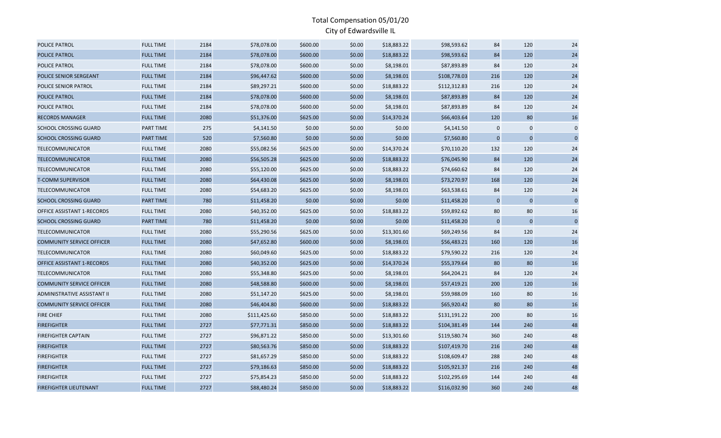| <b>POLICE PATROL</b>             | <b>FULL TIME</b> | 2184 | \$78,078.00  | \$600.00 | \$0.00 | \$18,883.22 | \$98,593.62  | 84             | 120         | 24          |
|----------------------------------|------------------|------|--------------|----------|--------|-------------|--------------|----------------|-------------|-------------|
| POLICE PATROL                    | <b>FULL TIME</b> | 2184 | \$78,078.00  | \$600.00 | \$0.00 | \$18,883.22 | \$98,593.62  | 84             | 120         | 24          |
| POLICE PATROL                    | <b>FULL TIME</b> | 2184 | \$78,078.00  | \$600.00 | \$0.00 | \$8,198.01  | \$87,893.89  | 84             | 120         | 24          |
| POLICE SENIOR SERGEANT           | <b>FULL TIME</b> | 2184 | \$96,447.62  | \$600.00 | \$0.00 | \$8,198.01  | \$108,778.03 | 216            | 120         | 24          |
| POLICE SENIOR PATROL             | <b>FULL TIME</b> | 2184 | \$89,297.21  | \$600.00 | \$0.00 | \$18,883.22 | \$112,312.83 | 216            | 120         | 24          |
| POLICE PATROL                    | <b>FULL TIME</b> | 2184 | \$78,078.00  | \$600.00 | \$0.00 | \$8,198.01  | \$87,893.89  | 84             | 120         | 24          |
| POLICE PATROL                    | <b>FULL TIME</b> | 2184 | \$78,078.00  | \$600.00 | \$0.00 | \$8,198.01  | \$87,893.89  | 84             | 120         | 24          |
| <b>RECORDS MANAGER</b>           | <b>FULL TIME</b> | 2080 | \$51,376.00  | \$625.00 | \$0.00 | \$14,370.24 | \$66,403.64  | 120            | 80          | 16          |
| <b>SCHOOL CROSSING GUARD</b>     | PART TIME        | 275  | \$4,141.50   | \$0.00   | \$0.00 | \$0.00      | \$4,141.50   | $\mathbf 0$    | $\mathbf 0$ | $\mathbf 0$ |
| <b>SCHOOL CROSSING GUARD</b>     | PART TIME        | 520  | \$7,560.80   | \$0.00   | \$0.00 | \$0.00      | \$7,560.80   | $\overline{0}$ | $\Omega$    | $\mathbf 0$ |
| TELECOMMUNICATOR                 | <b>FULL TIME</b> | 2080 | \$55,082.56  | \$625.00 | \$0.00 | \$14,370.24 | \$70,110.20  | 132            | 120         | 24          |
| <b>TELECOMMUNICATOR</b>          | <b>FULL TIME</b> | 2080 | \$56,505.28  | \$625.00 | \$0.00 | \$18,883.22 | \$76,045.90  | 84             | 120         | 24          |
| <b>TELECOMMUNICATOR</b>          | <b>FULL TIME</b> | 2080 | \$55,120.00  | \$625.00 | \$0.00 | \$18,883.22 | \$74,660.62  | 84             | 120         | 24          |
| <b>T-COMM SUPERVISOR</b>         | <b>FULL TIME</b> | 2080 | \$64,430.08  | \$625.00 | \$0.00 | \$8,198.01  | \$73,270.97  | 168            | 120         | 24          |
| TELECOMMUNICATOR                 | <b>FULL TIME</b> | 2080 | \$54,683.20  | \$625.00 | \$0.00 | \$8,198.01  | \$63,538.61  | 84             | 120         | 24          |
| <b>SCHOOL CROSSING GUARD</b>     | PART TIME        | 780  | \$11,458.20  | \$0.00   | \$0.00 | \$0.00      | \$11,458.20  | $\mathbf 0$    | $\pmb{0}$   | $\mathbf 0$ |
| OFFICE ASSISTANT 1-RECORDS       | <b>FULL TIME</b> | 2080 | \$40,352.00  | \$625.00 | \$0.00 | \$18,883.22 | \$59,892.62  | 80             | 80          | 16          |
| <b>SCHOOL CROSSING GUARD</b>     | <b>PART TIME</b> | 780  | \$11,458.20  | \$0.00   | \$0.00 | \$0.00      | \$11,458.20  | $\mathbf 0$    | $\mathbf 0$ | $\mathbf 0$ |
| <b>TELECOMMUNICATOR</b>          | <b>FULL TIME</b> | 2080 | \$55,290.56  | \$625.00 | \$0.00 | \$13,301.60 | \$69,249.56  | 84             | 120         | 24          |
| <b>COMMUNITY SERVICE OFFICER</b> | <b>FULL TIME</b> | 2080 | \$47,652.80  | \$600.00 | \$0.00 | \$8,198.01  | \$56,483.21  | 160            | 120         | 16          |
| TELECOMMUNICATOR                 | <b>FULL TIME</b> | 2080 | \$60,049.60  | \$625.00 | \$0.00 | \$18,883.22 | \$79,590.22  | 216            | 120         | 24          |
| OFFICE ASSISTANT 1-RECORDS       | <b>FULL TIME</b> | 2080 | \$40,352.00  | \$625.00 | \$0.00 | \$14,370.24 | \$55,379.64  | 80             | 80          | 16          |
| <b>TELECOMMUNICATOR</b>          | <b>FULL TIME</b> | 2080 | \$55,348.80  | \$625.00 | \$0.00 | \$8,198.01  | \$64,204.21  | 84             | 120         | 24          |
| <b>COMMUNITY SERVICE OFFICER</b> | <b>FULL TIME</b> | 2080 | \$48,588.80  | \$600.00 | \$0.00 | \$8,198.01  | \$57,419.21  | 200            | 120         | 16          |
| ADMINISTRATIVE ASSISTANT II      | <b>FULL TIME</b> | 2080 | \$51,147.20  | \$625.00 | \$0.00 | \$8,198.01  | \$59,988.09  | 160            | 80          | 16          |
| <b>COMMUNITY SERVICE OFFICER</b> | <b>FULL TIME</b> | 2080 | \$46,404.80  | \$600.00 | \$0.00 | \$18,883.22 | \$65,920.42  | 80             | 80          | 16          |
| FIRE CHIEF                       | <b>FULL TIME</b> | 2080 | \$111,425.60 | \$850.00 | \$0.00 | \$18,883.22 | \$131,191.22 | 200            | 80          | 16          |
| <b>FIREFIGHTER</b>               | <b>FULL TIME</b> | 2727 | \$77,771.31  | \$850.00 | \$0.00 | \$18,883.22 | \$104,381.49 | 144            | 240         | 48          |
| <b>FIREFIGHTER CAPTAIN</b>       | <b>FULL TIME</b> | 2727 | \$96,871.22  | \$850.00 | \$0.00 | \$13,301.60 | \$119,580.74 | 360            | 240         | 48          |
| <b>FIREFIGHTER</b>               | <b>FULL TIME</b> | 2727 | \$80,563.76  | \$850.00 | \$0.00 | \$18,883.22 | \$107,419.70 | 216            | 240         | 48          |
| <b>FIREFIGHTER</b>               | <b>FULL TIME</b> | 2727 | \$81,657.29  | \$850.00 | \$0.00 | \$18,883.22 | \$108,609.47 | 288            | 240         | 48          |
| <b>FIREFIGHTER</b>               | <b>FULL TIME</b> | 2727 | \$79,186.63  | \$850.00 | \$0.00 | \$18,883.22 | \$105,921.37 | 216            | 240         | 48          |
| <b>FIREFIGHTER</b>               | <b>FULL TIME</b> | 2727 | \$75,854.23  | \$850.00 | \$0.00 | \$18,883.22 | \$102,295.69 | 144            | 240         | 48          |
| <b>FIREFIGHTER LIEUTENANT</b>    | <b>FULL TIME</b> | 2727 | \$88,480.24  | \$850.00 | \$0.00 | \$18,883.22 | \$116,032.90 | 360            | 240         | 48          |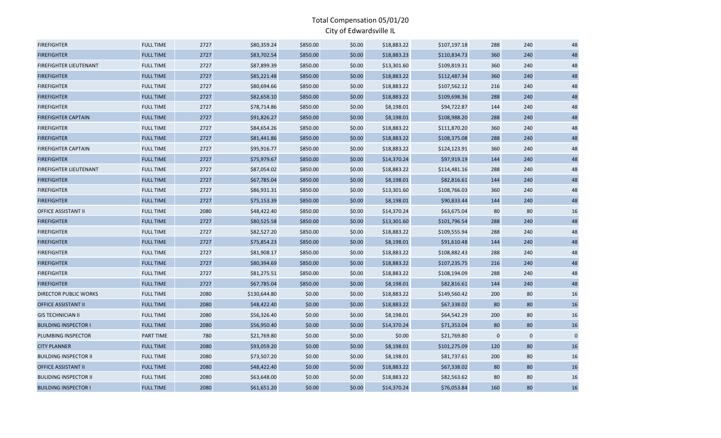| <b>FIREFIGHTER</b>            | <b>FULL TIME</b> | 2727 | \$80,359.24  | \$850.00 | \$0.00 | \$18,883.22 | \$107,197.18 | 288         | 240       | 48          |
|-------------------------------|------------------|------|--------------|----------|--------|-------------|--------------|-------------|-----------|-------------|
| <b>FIREFIGHTER</b>            | <b>FULL TIME</b> | 2727 | \$83,702.54  | \$850.00 | \$0.00 | \$18,883.23 | \$110,834.73 | 360         | 240       | 48          |
| <b>FIREFIGHTER LIEUTENANT</b> | <b>FULL TIME</b> | 2727 | \$87,899.39  | \$850.00 | \$0.00 | \$13,301.60 | \$109,819.31 | 360         | 240       | 48          |
| <b>FIREFIGHTER</b>            | <b>FULL TIME</b> | 2727 | \$85,221.48  | \$850.00 | \$0.00 | \$18,883.22 | \$112,487.34 | 360         | 240       | 48          |
| <b>FIREFIGHTER</b>            | <b>FULL TIME</b> | 2727 | \$80,694.66  | \$850.00 | \$0.00 | \$18,883.22 | \$107,562.12 | 216         | 240       | 48          |
| <b>FIREFIGHTER</b>            | <b>FULL TIME</b> | 2727 | \$82,658.10  | \$850.00 | \$0.00 | \$18,883.22 | \$109,698.36 | 288         | 240       | 48          |
| <b>FIREFIGHTER</b>            | <b>FULL TIME</b> | 2727 | \$78,714.86  | \$850.00 | \$0.00 | \$8,198.01  | \$94,722.87  | 144         | 240       | 48          |
| <b>FIREFIGHTER CAPTAIN</b>    | <b>FULL TIME</b> | 2727 | \$91,826.27  | \$850.00 | \$0.00 | \$8,198.01  | \$108,988.20 | 288         | 240       | 48          |
| <b>FIREFIGHTER</b>            | <b>FULL TIME</b> | 2727 | \$84,654.26  | \$850.00 | \$0.00 | \$18,883.22 | \$111,870.20 | 360         | 240       | 48          |
| <b>FIREFIGHTER</b>            | <b>FULL TIME</b> | 2727 | \$81,441.86  | \$850.00 | \$0.00 | \$18,883.22 | \$108,375.08 | 288         | 240       | 48          |
| <b>FIREFIGHTER CAPTAIN</b>    | <b>FULL TIME</b> | 2727 | \$95,916.77  | \$850.00 | \$0.00 | \$18,883.22 | \$124,123.91 | 360         | 240       | 48          |
| <b>FIREFIGHTER</b>            | <b>FULL TIME</b> | 2727 | \$75,979.67  | \$850.00 | \$0.00 | \$14,370.24 | \$97,919.19  | 144         | 240       | 48          |
| <b>FIREFIGHTER LIEUTENANT</b> | <b>FULL TIME</b> | 2727 | \$87,054.02  | \$850.00 | \$0.00 | \$18,883.22 | \$114,481.16 | 288         | 240       | 48          |
| <b>FIREFIGHTER</b>            | <b>FULL TIME</b> | 2727 | \$67,785.04  | \$850.00 | \$0.00 | \$8,198.01  | \$82,816.61  | 144         | 240       | 48          |
| <b>FIREFIGHTER</b>            | <b>FULL TIME</b> | 2727 | \$86,931.31  | \$850.00 | \$0.00 | \$13,301.60 | \$108,766.03 | 360         | 240       | 48          |
| <b>FIREFIGHTER</b>            | <b>FULL TIME</b> | 2727 | \$75,153.39  | \$850.00 | \$0.00 | \$8,198.01  | \$90,833.44  | 144         | 240       | 48          |
| OFFICE ASSISTANT II           | <b>FULL TIME</b> | 2080 | \$48,422.40  | \$850.00 | \$0.00 | \$14,370.24 | \$63,675.04  | 80          | 80        | 16          |
| <b>FIREFIGHTER</b>            | <b>FULL TIME</b> | 2727 | \$80,525.58  | \$850.00 | \$0.00 | \$13,301.60 | \$101,796.54 | 288         | 240       | 48          |
| <b>FIREFIGHTER</b>            | <b>FULL TIME</b> | 2727 | \$82,527.20  | \$850.00 | \$0.00 | \$18,883.22 | \$109,555.94 | 288         | 240       | 48          |
| <b>FIREFIGHTER</b>            | <b>FULL TIME</b> | 2727 | \$75,854.23  | \$850.00 | \$0.00 | \$8,198.01  | \$91,610.48  | 144         | 240       | 48          |
| <b>FIREFIGHTER</b>            | <b>FULL TIME</b> | 2727 | \$81,908.17  | \$850.00 | \$0.00 | \$18,883.22 | \$108,882.43 | 288         | 240       | 48          |
| <b>FIREFIGHTER</b>            | <b>FULL TIME</b> | 2727 | \$80,394.69  | \$850.00 | \$0.00 | \$18,883.22 | \$107,235.75 | 216         | 240       | 48          |
| <b>FIREFIGHTER</b>            | <b>FULL TIME</b> | 2727 | \$81,275.51  | \$850.00 | \$0.00 | \$18,883.22 | \$108,194.09 | 288         | 240       | 48          |
| <b>FIREFIGHTER</b>            | <b>FULL TIME</b> | 2727 | \$67,785.04  | \$850.00 | \$0.00 | \$8,198.01  | \$82,816.61  | 144         | 240       | 48          |
| <b>DIRECTOR PUBLIC WORKS</b>  | <b>FULL TIME</b> | 2080 | \$130,644.80 | \$0.00   | \$0.00 | \$18,883.22 | \$149,560.42 | 200         | 80        | 16          |
| <b>OFFICE ASSISTANT II</b>    | <b>FULL TIME</b> | 2080 | \$48,422.40  | \$0.00   | \$0.00 | \$18,883.22 | \$67,338.02  | 80          | 80        | 16          |
| <b>GIS TECHNICIAN II</b>      | <b>FULL TIME</b> | 2080 | \$56,326.40  | \$0.00   | \$0.00 | \$8,198.01  | \$64,542.29  | 200         | 80        | 16          |
| <b>BUILDING INSPECTOR I</b>   | <b>FULL TIME</b> | 2080 | \$56,950.40  | \$0.00   | \$0.00 | \$14,370.24 | \$71,353.04  | 80          | 80        | 16          |
| PLUMBING INSPECTOR            | PART TIME        | 780  | \$21,769.80  | \$0.00   | \$0.00 | \$0.00      | \$21,769.80  | $\mathbf 0$ | $\pmb{0}$ | $\mathbf 0$ |
| <b>CITY PLANNER</b>           | <b>FULL TIME</b> | 2080 | \$93,059.20  | \$0.00   | \$0.00 | \$8,198.01  | \$101,275.09 | 120         | 80        | 16          |
| <b>BUILDING INSPECTOR II</b>  | <b>FULL TIME</b> | 2080 | \$73,507.20  | \$0.00   | \$0.00 | \$8,198.01  | \$81,737.61  | 200         | 80        | 16          |
| <b>OFFICE ASSISTANT II</b>    | <b>FULL TIME</b> | 2080 | \$48,422.40  | \$0.00   | \$0.00 | \$18,883.22 | \$67,338.02  | 80          | 80        | 16          |
| <b>BULIDING INSPECTOR II</b>  | <b>FULL TIME</b> | 2080 | \$63,648.00  | \$0.00   | \$0.00 | \$18,883.22 | \$82,563.62  | 80          | 80        | 16          |
| <b>BUILDING INSPECTOR I</b>   | <b>FULL TIME</b> | 2080 | \$61,651.20  | \$0.00   | \$0.00 | \$14,370.24 | \$76,053.84  | 160         | 80        | 16          |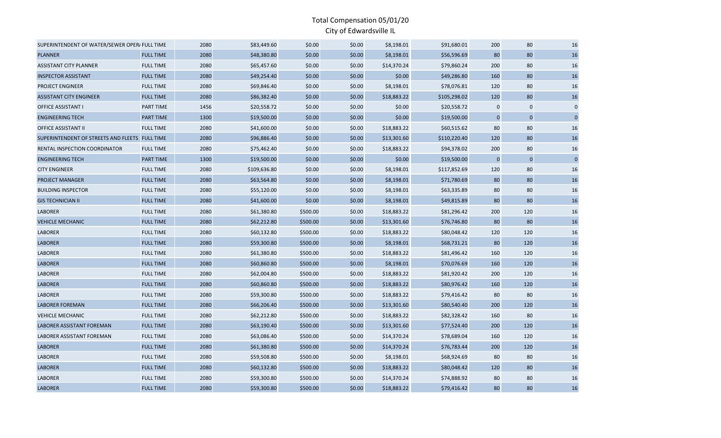| SUPERINTENDENT OF WATER/SEWER OPER/ FULL TIME  |                  | 2080 | \$83,449.60  | \$0.00   | \$0.00 | \$8,198.01  | \$91,680.01  | 200          | 80          | 16          |
|------------------------------------------------|------------------|------|--------------|----------|--------|-------------|--------------|--------------|-------------|-------------|
| <b>PLANNER</b>                                 | <b>FULL TIME</b> | 2080 | \$48,380.80  | \$0.00   | \$0.00 | \$8,198.01  | \$56,596.69  | 80           | 80          | 16          |
| <b>ASSISTANT CITY PLANNER</b>                  | <b>FULL TIME</b> | 2080 | \$65,457.60  | \$0.00   | \$0.00 | \$14,370.24 | \$79,860.24  | 200          | 80          | 16          |
| <b>INSPECTOR ASSISTANT</b>                     | <b>FULL TIME</b> | 2080 | \$49,254.40  | \$0.00   | \$0.00 | \$0.00      | \$49,286.80  | 160          | 80          | 16          |
| PROJECT ENGINEER                               | <b>FULL TIME</b> | 2080 | \$69,846.40  | \$0.00   | \$0.00 | \$8,198.01  | \$78,076.81  | 120          | 80          | 16          |
| <b>ASSISTANT CITY ENGINEER</b>                 | <b>FULL TIME</b> | 2080 | \$86,382.40  | \$0.00   | \$0.00 | \$18,883.22 | \$105,298.02 | 120          | 80          | 16          |
| <b>OFFICE ASSISTANT I</b>                      | <b>PART TIME</b> | 1456 | \$20,558.72  | \$0.00   | \$0.00 | \$0.00      | \$20,558.72  | $\mathbf 0$  | $\mathbf 0$ | $\mathbf 0$ |
| <b>ENGINEERING TECH</b>                        | <b>PART TIME</b> | 1300 | \$19,500.00  | \$0.00   | \$0.00 | \$0.00      | \$19,500.00  | $\mathbf 0$  | $\mathbf 0$ | $\mathbf 0$ |
| <b>OFFICE ASSISTANT II</b>                     | <b>FULL TIME</b> | 2080 | \$41,600.00  | \$0.00   | \$0.00 | \$18,883.22 | \$60,515.62  | 80           | 80          | 16          |
| SUPERINTENDENT OF STREETS AND FLEETS FULL TIME |                  | 2080 | \$96,886.40  | \$0.00   | \$0.00 | \$13,301.60 | \$110,220.40 | 120          | 80          | $16\,$      |
| RENTAL INSPECTION COORDINATOR                  | <b>FULL TIME</b> | 2080 | \$75,462.40  | \$0.00   | \$0.00 | \$18,883.22 | \$94,378.02  | 200          | 80          | 16          |
| <b>ENGINEERING TECH</b>                        | PART TIME        | 1300 | \$19,500.00  | \$0.00   | \$0.00 | \$0.00      | \$19,500.00  | $\mathbf{0}$ | $\mathbf 0$ | $\mathbf 0$ |
| <b>CITY ENGINEER</b>                           | <b>FULL TIME</b> | 2080 | \$109,636.80 | \$0.00   | \$0.00 | \$8,198.01  | \$117,852.69 | 120          | 80          | 16          |
| <b>PROJECT MANAGER</b>                         | <b>FULL TIME</b> | 2080 | \$63,564.80  | \$0.00   | \$0.00 | \$8,198.01  | \$71,780.69  | 80           | 80          | 16          |
| <b>BUILDING INSPECTOR</b>                      | <b>FULL TIME</b> | 2080 | \$55,120.00  | \$0.00   | \$0.00 | \$8,198.01  | \$63,335.89  | 80           | 80          | 16          |
| <b>GIS TECHNICIAN II</b>                       | <b>FULL TIME</b> | 2080 | \$41,600.00  | \$0.00   | \$0.00 | \$8,198.01  | \$49,815.89  | 80           | 80          | 16          |
| <b>LABORER</b>                                 | <b>FULL TIME</b> | 2080 | \$61,380.80  | \$500.00 | \$0.00 | \$18,883.22 | \$81,296.42  | 200          | 120         | 16          |
| <b>VEHICLE MECHANIC</b>                        | <b>FULL TIME</b> | 2080 | \$62,212.80  | \$500.00 | \$0.00 | \$13,301.60 | \$76,746.80  | 80           | 80          | 16          |
| <b>LABORER</b>                                 | <b>FULL TIME</b> | 2080 | \$60,132.80  | \$500.00 | \$0.00 | \$18,883.22 | \$80,048.42  | 120          | 120         | 16          |
| <b>LABORER</b>                                 | <b>FULL TIME</b> | 2080 | \$59,300.80  | \$500.00 | \$0.00 | \$8,198.01  | \$68,731.21  | 80           | 120         | 16          |
| <b>LABORER</b>                                 | <b>FULL TIME</b> | 2080 | \$61,380.80  | \$500.00 | \$0.00 | \$18,883.22 | \$81,496.42  | 160          | 120         | 16          |
| <b>LABORER</b>                                 | <b>FULL TIME</b> | 2080 | \$60,860.80  | \$500.00 | \$0.00 | \$8,198.01  | \$70,076.69  | 160          | 120         | $16\,$      |
| <b>LABORER</b>                                 | <b>FULL TIME</b> | 2080 | \$62,004.80  | \$500.00 | \$0.00 | \$18,883.22 | \$81,920.42  | 200          | 120         | 16          |
| <b>LABORER</b>                                 | <b>FULL TIME</b> | 2080 | \$60,860.80  | \$500.00 | \$0.00 | \$18,883.22 | \$80,976.42  | 160          | 120         | 16          |
| <b>LABORER</b>                                 | <b>FULL TIME</b> | 2080 | \$59,300.80  | \$500.00 | \$0.00 | \$18,883.22 | \$79,416.42  | 80           | 80          | 16          |
| <b>LABORER FOREMAN</b>                         | <b>FULL TIME</b> | 2080 | \$66,206.40  | \$500.00 | \$0.00 | \$13,301.60 | \$80,540.40  | 200          | 120         | 16          |
| <b>VEHICLE MECHANIC</b>                        | <b>FULL TIME</b> | 2080 | \$62,212.80  | \$500.00 | \$0.00 | \$18,883.22 | \$82,328.42  | 160          | 80          | 16          |
| <b>LABORER ASSISTANT FOREMAN</b>               | <b>FULL TIME</b> | 2080 | \$63,190.40  | \$500.00 | \$0.00 | \$13,301.60 | \$77,524.40  | 200          | 120         | 16          |
| <b>LABORER ASSISTANT FOREMAN</b>               | <b>FULL TIME</b> | 2080 | \$63,086.40  | \$500.00 | \$0.00 | \$14,370.24 | \$78,689.04  | 160          | 120         | 16          |
| <b>LABORER</b>                                 | <b>FULL TIME</b> | 2080 | \$61,380.80  | \$500.00 | \$0.00 | \$14,370.24 | \$76,783.44  | 200          | 120         | 16          |
| <b>LABORER</b>                                 | <b>FULL TIME</b> | 2080 | \$59,508.80  | \$500.00 | \$0.00 | \$8,198.01  | \$68,924.69  | 80           | 80          | 16          |
| <b>LABORER</b>                                 | <b>FULL TIME</b> | 2080 | \$60,132.80  | \$500.00 | \$0.00 | \$18,883.22 | \$80,048.42  | 120          | 80          | $16\,$      |
| <b>LABORER</b>                                 | <b>FULL TIME</b> | 2080 | \$59,300.80  | \$500.00 | \$0.00 | \$14,370.24 | \$74,888.92  | 80           | 80          | 16          |
| <b>LABORER</b>                                 | <b>FULL TIME</b> | 2080 | \$59,300.80  | \$500.00 | \$0.00 | \$18,883.22 | \$79,416.42  | 80           | 80          | 16          |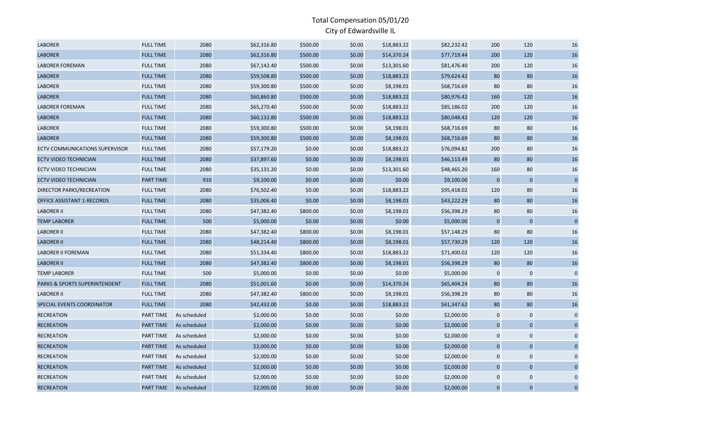| <b>LABORER</b>                           | <b>FULL TIME</b> | 2080         | \$62,316.80 | \$500.00 | \$0.00 | \$18,883.22 | \$82,232.42 | 200          | 120            | 16             |
|------------------------------------------|------------------|--------------|-------------|----------|--------|-------------|-------------|--------------|----------------|----------------|
| <b>LABORER</b>                           | <b>FULL TIME</b> | 2080         | \$62,316.80 | \$500.00 | \$0.00 | \$14,370.24 | \$77,719.44 | 200          | 120            | 16             |
| <b>LABORER FOREMAN</b>                   | <b>FULL TIME</b> | 2080         | \$67,142.40 | \$500.00 | \$0.00 | \$13,301.60 | \$81,476.40 | 200          | 120            | 16             |
| <b>LABORER</b>                           | <b>FULL TIME</b> | 2080         | \$59,508.80 | \$500.00 | \$0.00 | \$18,883.22 | \$79,624.42 | 80           | 80             | 16             |
| <b>LABORER</b>                           | <b>FULL TIME</b> | 2080         | \$59,300.80 | \$500.00 | \$0.00 | \$8,198.01  | \$68,716.69 | 80           | 80             | 16             |
| <b>LABORER</b>                           | <b>FULL TIME</b> | 2080         | \$60,860.80 | \$500.00 | \$0.00 | \$18,883.22 | \$80,976.42 | 160          | 120            | 16             |
| <b>LABORER FOREMAN</b>                   | <b>FULL TIME</b> | 2080         | \$65,270.40 | \$500.00 | \$0.00 | \$18,883.22 | \$85,186.02 | 200          | 120            | 16             |
| <b>LABORER</b>                           | <b>FULL TIME</b> | 2080         | \$60,132.80 | \$500.00 | \$0.00 | \$18,883.22 | \$80,048.42 | 120          | 120            | 16             |
| <b>LABORER</b>                           | <b>FULL TIME</b> | 2080         | \$59,300.80 | \$500.00 | \$0.00 | \$8,198.01  | \$68,716.69 | 80           | 80             | 16             |
| <b>LABORER</b>                           | <b>FULL TIME</b> | 2080         | \$59,300.80 | \$500.00 | \$0.00 | \$8,198.01  | \$68,716.69 | 80           | 80             | 16             |
| <b>ECTV COMMUNICATIONS SUPERVISOR</b>    | <b>FULL TIME</b> | 2080         | \$57,179.20 | \$0.00   | \$0.00 | \$18,883.22 | \$76,094.82 | 200          | 80             | 16             |
| <b>ECTV VIDEO TECHNICIAN</b>             | <b>FULL TIME</b> | 2080         | \$37,897.60 | \$0.00   | \$0.00 | \$8,198.01  | \$46,113.49 | 80           | 80             | 16             |
| ECTV VIDEO TECHNICIAN                    | <b>FULL TIME</b> | 2080         | \$35,131.20 | \$0.00   | \$0.00 | \$13,301.60 | \$48,465.20 | 160          | 80             | 16             |
| <b>ECTV VIDEO TECHNICIAN</b>             | <b>PART TIME</b> | 910          | \$9,100.00  | \$0.00   | \$0.00 | \$0.00      | \$9,100.00  | $\mathbf 0$  | $\mathbf 0$    | $\overline{0}$ |
| DIRECTOR PARKS/RECREATION                | <b>FULL TIME</b> | 2080         | \$76,502.40 | \$0.00   | \$0.00 | \$18,883.22 | \$95,418.02 | 120          | 80             | 16             |
| OFFICE ASSISTANT 1-RECORDS               | <b>FULL TIME</b> | 2080         | \$35,006.40 | \$0.00   | \$0.00 | \$8,198.01  | \$43,222.29 | 80           | 80             | 16             |
| <b>LABORER II</b>                        | <b>FULL TIME</b> | 2080         | \$47,382.40 | \$800.00 | \$0.00 | \$8,198.01  | \$56,398.29 | 80           | 80             | 16             |
| <b>TEMP LABORER</b>                      | <b>FULL TIME</b> | 500          | \$5,000.00  | \$0.00   | \$0.00 | \$0.00      | \$5,000.00  | $\mathbf{0}$ | $\mathbf 0$    | $\mathbf 0$    |
| <b>LABORER II</b>                        | <b>FULL TIME</b> | 2080         | \$47,382.40 | \$800.00 | \$0.00 | \$8,198.01  | \$57,148.29 | 80           | 80             | 16             |
| <b>LABORER II</b>                        | <b>FULL TIME</b> | 2080         | \$48,214.40 | \$800.00 | \$0.00 | \$8,198.01  | \$57,730.29 | 120          | 120            | 16             |
| <b>LABORER II FOREMAN</b>                | <b>FULL TIME</b> | 2080         | \$51,334.40 | \$800.00 | \$0.00 | \$18,883.22 | \$71,400.02 | 120          | 120            | 16             |
| <b>LABORER II</b>                        | <b>FULL TIME</b> | 2080         | \$47,382.40 | \$800.00 | \$0.00 | \$8,198.01  | \$56,398.29 | 80           | 80             | 16             |
| <b>TEMP LABORER</b>                      | <b>FULL TIME</b> | 500          | \$5,000.00  | \$0.00   | \$0.00 | \$0.00      | \$5,000.00  | $\mathbf 0$  | $\pmb{0}$      | $\Omega$       |
| <b>PARKS &amp; SPORTS SUPERINTENDENT</b> | <b>FULL TIME</b> | 2080         | \$51,001.60 | \$0.00   | \$0.00 | \$14,370.24 | \$65,404.24 | 80           | 80             | 16             |
| <b>LABORER II</b>                        | <b>FULL TIME</b> | 2080         | \$47,382.40 | \$800.00 | \$0.00 | \$8,198.01  | \$56,398.29 | 80           | 80             | 16             |
| SPECIAL EVENTS COORDINATOR               | <b>FULL TIME</b> | 2080         | \$42,432.00 | \$0.00   | \$0.00 | \$18,883.22 | \$61,347.62 | 80           | 80             | 16             |
| <b>RECREATION</b>                        | <b>PART TIME</b> | As scheduled | \$2,000.00  | \$0.00   | \$0.00 | \$0.00      | \$2,000.00  | $\mathbf 0$  | $\Omega$       | $\mathbf{0}$   |
| <b>RECREATION</b>                        | <b>PART TIME</b> | As scheduled | \$2,000.00  | \$0.00   | \$0.00 | \$0.00      | \$2,000.00  | $\mathbf 0$  | $\overline{0}$ | $\Omega$       |
| <b>RECREATION</b>                        | <b>PART TIME</b> | As scheduled | \$2,000.00  | \$0.00   | \$0.00 | \$0.00      | \$2,000.00  | $\mathbf 0$  | $\mathbf 0$    |                |
| <b>RECREATION</b>                        | <b>PART TIME</b> | As scheduled | \$2,000.00  | \$0.00   | \$0.00 | \$0.00      | \$2,000.00  | $\mathbf 0$  | $\mathbf 0$    |                |
| <b>RECREATION</b>                        | <b>PART TIME</b> | As scheduled | \$2,000.00  | \$0.00   | \$0.00 | \$0.00      | \$2,000.00  | $\mathbf 0$  | $\mathbf 0$    |                |
| <b>RECREATION</b>                        | <b>PART TIME</b> | As scheduled | \$2,000.00  | \$0.00   | \$0.00 | \$0.00      | \$2,000.00  | $\mathbf 0$  | $\mathbf 0$    | $\Omega$       |
| <b>RECREATION</b>                        | <b>PART TIME</b> | As scheduled | \$2,000.00  | \$0.00   | \$0.00 | \$0.00      | \$2,000.00  | 0            | $\mathbf 0$    | $\Omega$       |
| <b>RECREATION</b>                        | <b>PART TIME</b> | As scheduled | \$2,000.00  | \$0.00   | \$0.00 | \$0.00      | \$2,000.00  | $\Omega$     | $\Omega$       | $\overline{0}$ |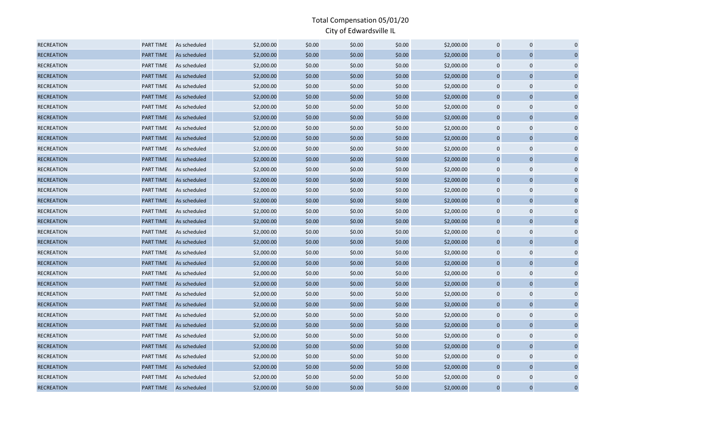| <b>RECREATION</b> | PART TIME        | As scheduled | \$2,000.00 | \$0.00 | \$0.00 | \$0.00 | \$2,000.00 | $\mathbf 0$    | $\mathbf 0$    |             |
|-------------------|------------------|--------------|------------|--------|--------|--------|------------|----------------|----------------|-------------|
| <b>RECREATION</b> | <b>PART TIME</b> | As scheduled | \$2,000.00 | \$0.00 | \$0.00 | \$0.00 | \$2,000.00 | $\overline{0}$ | $\Omega$       |             |
| <b>RECREATION</b> | PART TIME        | As scheduled | \$2,000.00 | \$0.00 | \$0.00 | \$0.00 | \$2,000.00 | $\mathbf 0$    | $\Omega$       | $\Omega$    |
| <b>RECREATION</b> | <b>PART TIME</b> | As scheduled | \$2,000.00 | \$0.00 | \$0.00 | \$0.00 | \$2,000.00 | $\overline{0}$ | $\overline{0}$ |             |
| <b>RECREATION</b> | PART TIME        | As scheduled | \$2,000.00 | \$0.00 | \$0.00 | \$0.00 | \$2,000.00 | $\mathbf 0$    | $\mathbf 0$    |             |
| <b>RECREATION</b> | <b>PART TIME</b> | As scheduled | \$2,000.00 | \$0.00 | \$0.00 | \$0.00 | \$2,000.00 | $\overline{0}$ | $\mathbf 0$    |             |
| <b>RECREATION</b> | PART TIME        | As scheduled | \$2,000.00 | \$0.00 | \$0.00 | \$0.00 | \$2,000.00 | $\mathbf 0$    | $\mathbf 0$    |             |
| <b>RECREATION</b> | PART TIME        | As scheduled | \$2,000.00 | \$0.00 | \$0.00 | \$0.00 | \$2,000.00 | $\mathbf 0$    | $\mathbf 0$    |             |
| <b>RECREATION</b> | PART TIME        | As scheduled | \$2,000.00 | \$0.00 | \$0.00 | \$0.00 | \$2,000.00 | $\mathbf 0$    | $\mathbf 0$    | $\Omega$    |
| <b>RECREATION</b> | PART TIME        | As scheduled | \$2,000.00 | \$0.00 | \$0.00 | \$0.00 | \$2,000.00 | $\overline{0}$ | $\overline{0}$ |             |
| <b>RECREATION</b> | <b>PART TIME</b> | As scheduled | \$2,000.00 | \$0.00 | \$0.00 | \$0.00 | \$2,000.00 | $\mathbf 0$    | $\mathbf 0$    |             |
| <b>RECREATION</b> | <b>PART TIME</b> | As scheduled | \$2,000.00 | \$0.00 | \$0.00 | \$0.00 | \$2,000.00 | $\mathbf 0$    | $\mathbf 0$    |             |
| <b>RECREATION</b> | <b>PART TIME</b> | As scheduled | \$2,000.00 | \$0.00 | \$0.00 | \$0.00 | \$2,000.00 | $\mathbf 0$    | 0              | $\Omega$    |
| <b>RECREATION</b> | <b>PART TIME</b> | As scheduled | \$2,000.00 | \$0.00 | \$0.00 | \$0.00 | \$2,000.00 | $\overline{0}$ | $\overline{0}$ |             |
| <b>RECREATION</b> | PART TIME        | As scheduled | \$2,000.00 | \$0.00 | \$0.00 | \$0.00 | \$2,000.00 | $\mathbf 0$    | $\mathbf 0$    |             |
| <b>RECREATION</b> | <b>PART TIME</b> | As scheduled | \$2,000.00 | \$0.00 | \$0.00 | \$0.00 | \$2,000.00 | $\overline{0}$ | $\mathbf 0$    |             |
| <b>RECREATION</b> | <b>PART TIME</b> | As scheduled | \$2,000.00 | \$0.00 | \$0.00 | \$0.00 | \$2,000.00 | $\mathbf 0$    | $\mathbf 0$    |             |
| <b>RECREATION</b> | <b>PART TIME</b> | As scheduled | \$2,000.00 | \$0.00 | \$0.00 | \$0.00 | \$2,000.00 | $\mathbf 0$    | $\overline{0}$ | $\Omega$    |
| <b>RECREATION</b> | PART TIME        | As scheduled | \$2,000.00 | \$0.00 | \$0.00 | \$0.00 | \$2,000.00 | $\mathbf 0$    | $\mathbf 0$    |             |
| <b>RECREATION</b> | PART TIME        | As scheduled | \$2,000.00 | \$0.00 | \$0.00 | \$0.00 | \$2,000.00 | $\overline{0}$ | $\overline{0}$ |             |
| <b>RECREATION</b> | PART TIME        | As scheduled | \$2,000.00 | \$0.00 | \$0.00 | \$0.00 | \$2,000.00 | $\mathbf 0$    | $\mathbf 0$    |             |
| <b>RECREATION</b> | PART TIME        | As scheduled | \$2,000.00 | \$0.00 | \$0.00 | \$0.00 | \$2,000.00 | $\mathbf 0$    | $\mathbf 0$    |             |
| <b>RECREATION</b> | <b>PART TIME</b> | As scheduled | \$2,000.00 | \$0.00 | \$0.00 | \$0.00 | \$2,000.00 | $\mathbf 0$    | $\mathbf 0$    | $\Omega$    |
| <b>RECREATION</b> | PART TIME        | As scheduled | \$2,000.00 | \$0.00 | \$0.00 | \$0.00 | \$2,000.00 | $\mathbf 0$    | $\mathbf 0$    |             |
| <b>RECREATION</b> | PART TIME        | As scheduled | \$2,000.00 | \$0.00 | \$0.00 | \$0.00 | \$2,000.00 | $\mathbf 0$    | $\mathbf 0$    |             |
| <b>RECREATION</b> | <b>PART TIME</b> | As scheduled | \$2,000.00 | \$0.00 | \$0.00 | \$0.00 | \$2,000.00 | $\overline{0}$ | $\mathbf 0$    |             |
| <b>RECREATION</b> | PART TIME        | As scheduled | \$2,000.00 | \$0.00 | \$0.00 | \$0.00 | \$2,000.00 | $\mathbf 0$    | $\mathbf 0$    |             |
| <b>RECREATION</b> | <b>PART TIME</b> | As scheduled | \$2,000.00 | \$0.00 | \$0.00 | \$0.00 | \$2,000.00 | $\overline{0}$ | $\overline{0}$ | $\Omega$    |
| <b>RECREATION</b> | PART TIME        | As scheduled | \$2,000.00 | \$0.00 | \$0.00 | \$0.00 | \$2,000.00 | $\mathbf 0$    | $\mathbf 0$    |             |
| <b>RECREATION</b> | <b>PART TIME</b> | As scheduled | \$2,000.00 | \$0.00 | \$0.00 | \$0.00 | \$2,000.00 | $\mathbf 0$    | $\overline{0}$ |             |
| <b>RECREATION</b> | <b>PART TIME</b> | As scheduled | \$2,000.00 | \$0.00 | \$0.00 | \$0.00 | \$2,000.00 | $\mathbf 0$    | $\mathbf 0$    |             |
| <b>RECREATION</b> | PART TIME        | As scheduled | \$2,000.00 | \$0.00 | \$0.00 | \$0.00 | \$2,000.00 | $\mathbf 0$    | $\Omega$       |             |
| <b>RECREATION</b> | PART TIME        | As scheduled | \$2,000.00 | \$0.00 | \$0.00 | \$0.00 | \$2,000.00 | $\mathbf 0$    | $\mathbf 0$    | $\Omega$    |
| <b>RECREATION</b> | <b>PART TIME</b> | As scheduled | \$2,000.00 | \$0.00 | \$0.00 | \$0.00 | \$2,000.00 | $\overline{0}$ | $\Omega$       | $\mathbf 0$ |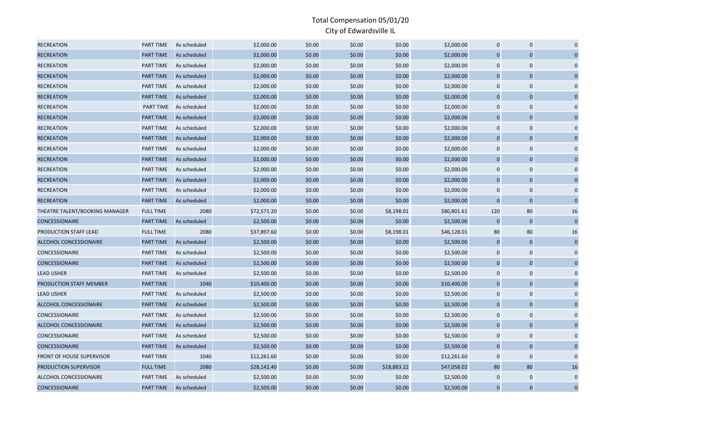| <b>RECREATION</b>                | PART TIME        | As scheduled | \$2,000.00  | \$0.00 | \$0.00 | \$0.00      | \$2,000.00  | $\mathbf 0$    | $\Omega$       |             |
|----------------------------------|------------------|--------------|-------------|--------|--------|-------------|-------------|----------------|----------------|-------------|
| <b>RECREATION</b>                | <b>PART TIME</b> | As scheduled | \$2,000.00  | \$0.00 | \$0.00 | \$0.00      | \$2,000.00  | $\overline{0}$ | $\Omega$       |             |
| <b>RECREATION</b>                | PART TIME        | As scheduled | \$2,000.00  | \$0.00 | \$0.00 | \$0.00      | \$2,000.00  | $\mathbf 0$    | $\Omega$       | $\Omega$    |
| <b>RECREATION</b>                | PART TIME        | As scheduled | \$2,000.00  | \$0.00 | \$0.00 | \$0.00      | \$2,000.00  | $\overline{0}$ | $\overline{0}$ |             |
| <b>RECREATION</b>                | PART TIME        | As scheduled | \$2,000.00  | \$0.00 | \$0.00 | \$0.00      | \$2,000.00  | $\mathbf 0$    | $\mathbf 0$    | $\Omega$    |
| <b>RECREATION</b>                | <b>PART TIME</b> | As scheduled | \$2,000.00  | \$0.00 | \$0.00 | \$0.00      | \$2,000.00  | $\overline{0}$ | $\overline{0}$ |             |
| <b>RECREATION</b>                | <b>PART TIME</b> | As scheduled | \$2,000.00  | \$0.00 | \$0.00 | \$0.00      | \$2,000.00  | $\mathbf 0$    | $\mathbf 0$    |             |
| <b>RECREATION</b>                | PART TIME        | As scheduled | \$2,000.00  | \$0.00 | \$0.00 | \$0.00      | \$2,000.00  | $\overline{0}$ | $\mathbf 0$    |             |
| <b>RECREATION</b>                | PART TIME        | As scheduled | \$2,000.00  | \$0.00 | \$0.00 | \$0.00      | \$2,000.00  | $\mathbf 0$    | $\mathbf 0$    | $\Omega$    |
| <b>RECREATION</b>                | PART TIME        | As scheduled | \$2,000.00  | \$0.00 | \$0.00 | \$0.00      | \$2,000.00  | $\overline{0}$ | $\overline{0}$ |             |
| <b>RECREATION</b>                | PART TIME        | As scheduled | \$2,000.00  | \$0.00 | \$0.00 | \$0.00      | \$2,000.00  | $\mathbf 0$    | $\mathbf 0$    |             |
| <b>RECREATION</b>                | PART TIME        | As scheduled | \$2,000.00  | \$0.00 | \$0.00 | \$0.00      | \$2,000.00  | $\mathbf 0$    | $\mathbf 0$    |             |
| <b>RECREATION</b>                | PART TIME        | As scheduled | \$2,000.00  | \$0.00 | \$0.00 | \$0.00      | \$2,000.00  | $\mathbf 0$    | $\mathbf 0$    | $\Omega$    |
| <b>RECREATION</b>                | <b>PART TIME</b> | As scheduled | \$2,000.00  | \$0.00 | \$0.00 | \$0.00      | \$2,000.00  | $\overline{0}$ | $\overline{0}$ |             |
| <b>RECREATION</b>                | PART TIME        | As scheduled | \$2,000.00  | \$0.00 | \$0.00 | \$0.00      | \$2,000.00  | $\mathbf 0$    | $\mathbf 0$    |             |
| <b>RECREATION</b>                | <b>PART TIME</b> | As scheduled | \$2,000.00  | \$0.00 | \$0.00 | \$0.00      | \$2,000.00  | $\overline{0}$ | $\mathbf 0$    |             |
| THEATRE TALENT/BOOKING MANAGER   | <b>FULL TIME</b> | 2080         | \$72,571.20 | \$0.00 | \$0.00 | \$8,198.01  | \$80,801.61 | 120            | 80             | 16          |
| <b>CONCESSIONAIRE</b>            | <b>PART TIME</b> | As scheduled | \$2,500.00  | \$0.00 | \$0.00 | \$0.00      | \$2,500.00  | $\mathbf{0}$   | $\overline{0}$ | $\Omega$    |
| PRODUCTION STAFF LEAD            | <b>FULL TIME</b> | 2080         | \$37,897.60 | \$0.00 | \$0.00 | \$8,198.01  | \$46,128.01 | 80             | 80             | 16          |
| ALCOHOL CONCESSIONAIRE           | PART TIME        | As scheduled | \$2,500.00  | \$0.00 | \$0.00 | \$0.00      | \$2,500.00  | $\overline{0}$ | $\overline{0}$ | $\Omega$    |
| <b>CONCESSIONAIRE</b>            | PART TIME        | As scheduled | \$2,500.00  | \$0.00 | \$0.00 | \$0.00      | \$2,500.00  | $\mathbf 0$    | $\mathbf 0$    |             |
| CONCESSIONAIRE                   | PART TIME        | As scheduled | \$2,500.00  | \$0.00 | \$0.00 | \$0.00      | \$2,500.00  | $\overline{0}$ | $\mathbf 0$    |             |
| <b>LEAD USHER</b>                | PART TIME        | As scheduled | \$2,500.00  | \$0.00 | \$0.00 | \$0.00      | \$2,500.00  | $\mathbf 0$    | $\mathbf 0$    | $\Omega$    |
| PRODUCTION STAFF MEMBER          | PART TIME        | 1040         | \$10,400.00 | \$0.00 | \$0.00 | \$0.00      | \$10,400.00 | $\Omega$       | $\Omega$       |             |
| <b>LEAD USHER</b>                | PART TIME        | As scheduled | \$2,500.00  | \$0.00 | \$0.00 | \$0.00      | \$2,500.00  | $\mathbf 0$    | $\mathbf 0$    |             |
| ALCOHOL CONCESSIONAIRE           | PART TIME        | As scheduled | \$2,500.00  | \$0.00 | \$0.00 | \$0.00      | \$2,500.00  | $\overline{0}$ | $\mathbf 0$    |             |
| CONCESSIONAIRE                   | PART TIME        | As scheduled | \$2,500.00  | \$0.00 | \$0.00 | \$0.00      | \$2,500.00  | $\mathbf 0$    | $\mathbf 0$    |             |
| ALCOHOL CONCESSIONAIRE           | <b>PART TIME</b> | As scheduled | \$2,500.00  | \$0.00 | \$0.00 | \$0.00      | \$2,500.00  | $\overline{0}$ | $\overline{0}$ | $\Omega$    |
| CONCESSIONAIRE                   | PART TIME        | As scheduled | \$2,500.00  | \$0.00 | \$0.00 | \$0.00      | \$2,500.00  | $\mathbf 0$    | $\mathbf 0$    |             |
| <b>CONCESSIONAIRE</b>            | PART TIME        | As scheduled | \$2,500.00  | \$0.00 | \$0.00 | \$0.00      | \$2,500.00  | $\overline{0}$ | $\overline{0}$ |             |
| <b>FRONT OF HOUSE SUPERVISOR</b> | PART TIME        | 1040         | \$12,261.60 | \$0.00 | \$0.00 | \$0.00      | \$12,261.60 | $\mathbf 0$    | $\mathbf 0$    | $\Omega$    |
| PRODUCTION SUPERVISOR            | <b>FULL TIME</b> | 2080         | \$28,142.40 | \$0.00 | \$0.00 | \$18,883.22 | \$47,058.02 | 80             | 80             | 16          |
| ALCOHOL CONCESSIONAIRE           | PART TIME        | As scheduled | \$2,500.00  | \$0.00 | \$0.00 | \$0.00      | \$2,500.00  | $\mathbf 0$    | $\mathbf 0$    | $\Omega$    |
| CONCESSIONAIRE                   | PART TIME        | As scheduled | \$2,500.00  | \$0.00 | \$0.00 | \$0.00      | \$2,500.00  | $\Omega$       | $\Omega$       | $\mathbf 0$ |